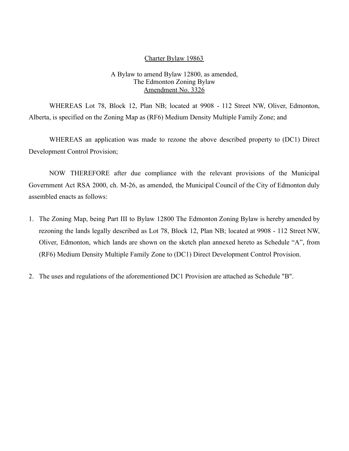#### Charter Bylaw 19863

#### A Bylaw to amend Bylaw 12800, as amended, The Edmonton Zoning Bylaw Amendment No. 3326

WHEREAS Lot 78, Block 12, Plan NB; located at 9908 - 112 Street NW, Oliver, Edmonton, Alberta, is specified on the Zoning Map as (RF6) Medium Density Multiple Family Zone; and

WHEREAS an application was made to rezone the above described property to (DC1) Direct Development Control Provision;

NOW THEREFORE after due compliance with the relevant provisions of the Municipal Government Act RSA 2000, ch. M-26, as amended, the Municipal Council of the City of Edmonton duly assembled enacts as follows:

- 1. The Zoning Map, being Part III to Bylaw 12800 The Edmonton Zoning Bylaw is hereby amended by rezoning the lands legally described as Lot 78, Block 12, Plan NB; located at 9908 - 112 Street NW, Oliver, Edmonton, which lands are shown on the sketch plan annexed hereto as Schedule "A", from (RF6) Medium Density Multiple Family Zone to (DC1) Direct Development Control Provision.
- 2. The uses and regulations of the aforementioned DC1 Provision are attached as Schedule "B".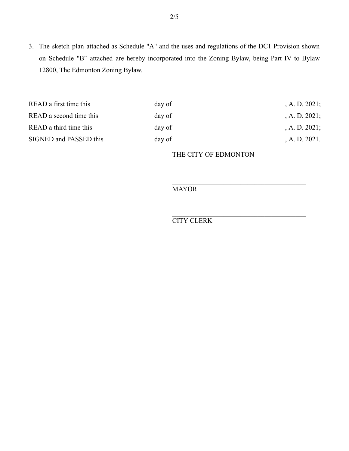3. The sketch plan attached as Schedule "A" and the uses and regulations of the DC1 Provision shown on Schedule "B" attached are hereby incorporated into the Zoning Bylaw, being Part IV to Bylaw 12800, The Edmonton Zoning Bylaw.

| READ a first time this  | day of | , A. D. $2021$ ; |
|-------------------------|--------|------------------|
| READ a second time this | day of | $A. D. 2021$ ;   |
| READ a third time this  | day of | , A. D. $2021$ ; |
| SIGNED and PASSED this  | day of | A. D. 2021.      |

THE CITY OF EDMONTON

**MAYOR** 

CITY CLERK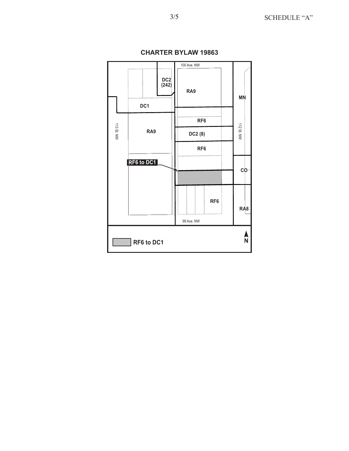

**CHARTER BYLAW 19863**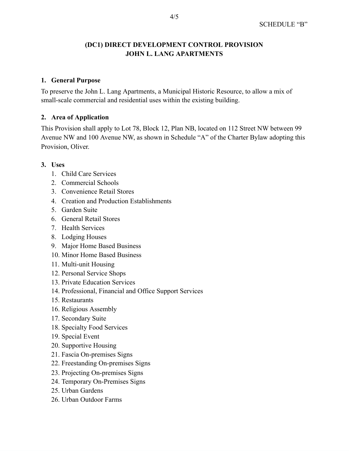# **(DC1) DIRECT DEVELOPMENT CONTROL PROVISION JOHN L. LANG APARTMENTS**

### **1. General Purpose**

To preserve the John L. Lang Apartments, a Municipal Historic Resource, to allow a mix of small-scale commercial and residential uses within the existing building.

### **2. Area of Application**

This Provision shall apply to Lot 78, Block 12, Plan NB, located on 112 Street NW between 99 Avenue NW and 100 Avenue NW, as shown in Schedule "A" of the Charter Bylaw adopting this Provision, Oliver.

#### **3. Uses**

- 1. Child Care Services
- 2. Commercial Schools
- 3. Convenience Retail Stores
- 4. Creation and Production Establishments
- 5. Garden Suite
- 6. General Retail Stores
- 7. Health Services
- 8. Lodging Houses
- 9. Major Home Based Business
- 10. Minor Home Based Business
- 11. Multi-unit Housing
- 12. Personal Service Shops
- 13. Private Education Services
- 14. Professional, Financial and Office Support Services
- 15. Restaurants
- 16. Religious Assembly
- 17. Secondary Suite
- 18. Specialty Food Services
- 19. Special Event
- 20. Supportive Housing
- 21. Fascia On-premises Signs
- 22. Freestanding On-premises Signs
- 23. Projecting On-premises Signs
- 24. Temporary On-Premises Signs
- 25. Urban Gardens
- 26. Urban Outdoor Farms